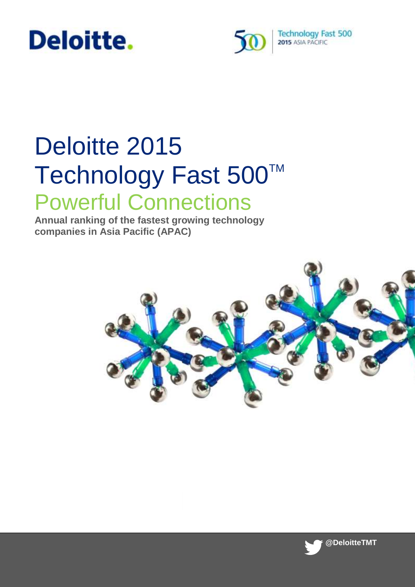# Deloitte.



# Deloitte 2015 Technology Fast 500™ Powerful Connections

**Annual ranking of the fastest growing technology companies in Asia Pacific (APAC)**



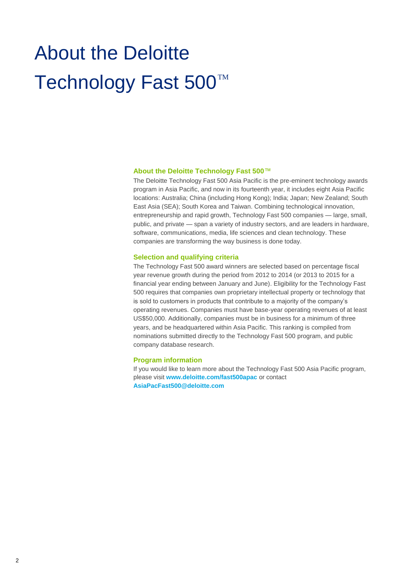# About the Deloitte Technology Fast 500<sup>™</sup>

#### **About the Deloitte Technology Fast 500**™

The Deloitte Technology Fast 500 Asia Pacific is the pre-eminent technology awards program in Asia Pacific, and now in its fourteenth year, it includes eight Asia Pacific locations: Australia; China (including Hong Kong); India; Japan; New Zealand; South East Asia (SEA); South Korea and Taiwan. Combining technological innovation, entrepreneurship and rapid growth, Technology Fast 500 companies — large, small, public, and private — span a variety of industry sectors, and are leaders in hardware, software, communications, media, life sciences and clean technology. These companies are transforming the way business is done today.

#### **Selection and qualifying criteria**

The Technology Fast 500 award winners are selected based on percentage fiscal year revenue growth during the period from 2012 to 2014 (or 2013 to 2015 for a financial year ending between January and June). Eligibility for the Technology Fast 500 requires that companies own proprietary intellectual property or technology that is sold to customers in products that contribute to a majority of the company's operating revenues. Companies must have base-year operating revenues of at least US\$50,000. Additionally, companies must be in business for a minimum of three years, and be headquartered within Asia Pacific. This ranking is compiled from nominations submitted directly to the Technology Fast 500 program, and public company database research.

#### **Program information**

If you would like to learn more about the Technology Fast 500 Asia Pacific program, please visit **[www.deloitte.com/fast500apac](http://www.deloitte.com/fast500apac)** or contact **[AsiaPacFast500@deloitte.com](mailto:AsiaPacFast500@deloitte.com)**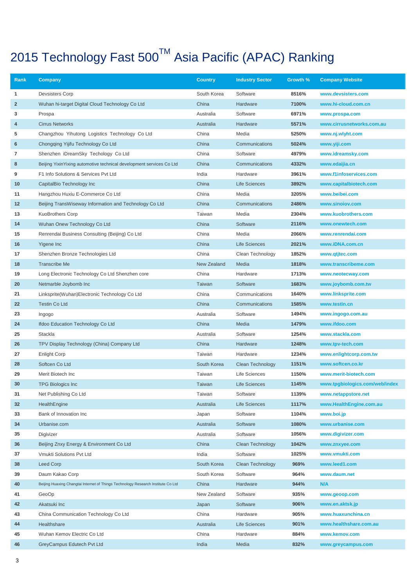| Rank           | Company                                                                          | <b>Country</b> | <b>Industry Sector</b>  | Growth % | <b>Company Website</b>         |
|----------------|----------------------------------------------------------------------------------|----------------|-------------------------|----------|--------------------------------|
| 1              | <b>Devsisters Corp</b>                                                           | South Korea    | Software                | 8516%    | www.devsisters.com             |
| $\overline{2}$ | Wuhan hi-target Digital Cloud Technology Co Ltd                                  | China          | Hardware                | 7100%    | www.hi-cloud.com.cn            |
| 3              | Prospa                                                                           | Australia      | Software                | 6971%    | www.prospa.com                 |
| 4              | <b>Cirrus Networks</b>                                                           | Australia      | Hardware                | 5571%    | www.cirrusnetworks.com.au      |
| 5              | Changzhou Yihutong Logistics Technology Co Ltd                                   | China          | Media                   | 5250%    | www.nj.wlyht.com               |
| 6              | Chongging Yijifu Technology Co Ltd                                               | China          | Communications          | 5024%    | www.yiji.com                   |
| 7              | Shenzhen iDreamSky Techology Co Ltd                                              | China          | Software                | 4979%    | www.idreamsky.com              |
| 8              | Beijing YixinYixing automotive technical development services Co Ltd             | China          | Communications          | 4332%    | www.edaijia.cn                 |
| 9              | F1 Info Solutions & Services Pvt Ltd                                             | India          | Hardware                | 3961%    | www.f1infoservices.com         |
| 10             | CapitalBio Technology Inc                                                        | China          | <b>Life Sciences</b>    | 3892%    | www.capitalbiotech.com         |
| 11             | Hangzhou Huxiu E-Commerce Co Ltd                                                 | China          | Media                   | 3205%    | www.beibei.com                 |
| 12             | Beijing TransWiseway Information and Technology Co Ltd                           | China          | Communications          | 2486%    | www.sinoiov.com                |
| 13             | KuoBrothers Corp                                                                 | Taiwan         | Media                   | 2304%    | www.kuobrothers.com            |
| 14             | Wuhan Onew Technology Co Ltd                                                     | China          | Software                | 2116%    | www.onewtech.com               |
| 15             | Renrendai Business Consulting (Beijing) Co Ltd                                   | China          | Media                   | 2066%    | www.renrendai.com              |
| 16             | Yigene Inc                                                                       | China          | <b>Life Sciences</b>    | 2021%    | www.iDNA.com.cn                |
| 17             | Shenzhen Bronze Technologies Ltd                                                 | China          | Clean Technology        | 1852%    | www.qtjtec.com                 |
| 18             | <b>Transcribe Me</b>                                                             | New Zealand    | Media                   | 1818%    | www.transcribeme.com           |
| 19             | Long Electronic Technology Co Ltd Shenzhen core                                  | China          | Hardware                | 1713%    | www.neotecway.com              |
| 20             | Netmarble Joybomb Inc                                                            | Taiwan         | Software                | 1683%    | www.joybomb.com.tw             |
| 21             | Linksprite(Wuhan)Electronic Technology Co Ltd                                    | China          | Communications          | 1640%    | www.linksprite.com             |
| 22             | <b>Testin Co Ltd</b>                                                             | China          | Communications          | 1585%    | www.testin.cn                  |
| 23             | Ingogo                                                                           | Australia      | Software                | 1494%    | www.ingogo.com.au              |
| 24             | Ifdoo Education Technology Co Ltd                                                | China          | Media                   | 1479%    | www.ifdoo.com                  |
| 25             | Stackla                                                                          | Australia      | Software                | 1254%    | www.stackla.com                |
| 26             | TPV Display Technology (China) Company Ltd                                       | China          | Hardware                | 1248%    | www.tpv-tech.com               |
| 27             | <b>Enlight Corp</b>                                                              | Taiwan         | Hardware                | 1234%    | www.enlightcorp.com.tw         |
| 28             | Softcen Co Ltd                                                                   | South Korea    | <b>Clean Technology</b> | 1151%    | www.softcen.co.kr              |
| 29             | Merit Biotech Inc                                                                | Taiwan         | Life Sciences           | 1150%    | www.merit-biotech.com          |
| 30             | <b>TPG Biologics Inc</b>                                                         | Taiwan         | <b>Life Sciences</b>    | 1145%    | www.tpgbiologics.com/web/index |
| 31             | Net Publishing Co Ltd                                                            | Taiwan         | Software                | 1139%    | www.netappstore.net            |
| 32             | HealthEngine                                                                     | Australia      | <b>Life Sciences</b>    | 1117%    | www.HealthEngine.com.au        |
| 33             | Bank of Innovation Inc                                                           | Japan          | Software                | 1104%    | www.boi.jp                     |
| 34             | Urbanise.com                                                                     | Australia      | Software                | 1080%    | www.urbanise.com               |
| 35             | Digivizer                                                                        | Australia      | Software                | 1056%    | www.digivizer.com              |
| 36             | Beijing Znxy Energy & Environment Co Ltd                                         | China          | <b>Clean Technology</b> | 1042%    | www.znxyee.com                 |
| 37             | Vmukti Solutions Pvt Ltd                                                         | India          | Software                | 1025%    | www.vmukti.com                 |
| 38             | <b>Leed Corp</b>                                                                 | South Korea    | Clean Technology        | 969%     | www.leed1.com                  |
| 39             | Daum Kakao Corp                                                                  | South Korea    | Software                | 964%     | www.daum.net                   |
| 40             | Beijing Huaxing Changtai Internet of Things Technology Research Institute Co Ltd | China          | Hardware                | 944%     | N/A                            |
| 41             | GeoOp                                                                            | New Zealand    | Software                | 935%     | www.geoop.com                  |
| 42             | Akatsuki Inc                                                                     | Japan          | Software                | 906%     | www.en.aktsk.jp                |
| 43             | China Communication Technology Co Ltd                                            | China          | Hardware                | 905%     | www.huaxunchina.cn             |
| 44             | Healthshare                                                                      | Australia      | Life Sciences           | 901%     | www.healthshare.com.au         |
| 45             | Wuhan Kemov Electric Co Ltd                                                      | China          | Hardware                | 884%     | www.kemov.com                  |
| 46             | GreyCampus Edutech Pvt Ltd                                                       | India          | Media                   | 832%     | www.greycampus.com             |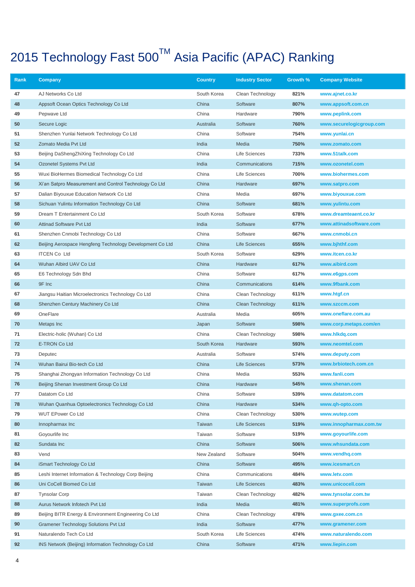| Rank | <b>Company</b>                                           | <b>Country</b> | <b>Industry Sector</b> | Growth % | <b>Company Website</b>   |
|------|----------------------------------------------------------|----------------|------------------------|----------|--------------------------|
| 47   | AJ Networks Co Ltd                                       | South Korea    | Clean Technology       | 821%     | www.ajnet.co.kr          |
| 48   | Appsoft Ocean Optics Technology Co Ltd                   | China          | Software               | 807%     | www.appsoft.com.cn       |
| 49   | Pepwave Ltd                                              | China          | Hardware               | 790%     | www.peplink.com          |
| 50   | Secure Logic                                             | Australia      | Software               | 760%     | www.securelogicgroup.com |
| 51   | Shenzhen Yunlai Network Technology Co Ltd                | China          | Software               | 754%     | www.yunlai.cn            |
| 52   | Zomato Media Pvt Ltd                                     | India          | Media                  | 750%     | www.zomato.com           |
| 53   | Beijing DaShengZhiXing Technology Co Ltd                 | China          | Life Sciences          | 733%     | www.51talk.com           |
| 54   | Ozonetel Systems Pvt Ltd                                 | India          | Communications         | 715%     | www.ozonetel.com         |
| 55   | Wuxi BioHermes Biomedical Technology Co Ltd              | China          | Life Sciences          | 700%     | www.biohermes.com        |
| 56   | Xi'an Satpro Measurement and Control Technology Co Ltd   | China          | Hardware               | 697%     | www.satpro.com           |
| 57   | Dalian Biyouxue Education Network Co Ltd                 | China          | Media                  | 697%     | www.biyouxue.com         |
| 58   | Sichuan Yulintu Information Technology Co Ltd            | China          | Software               | 681%     | www.yulintu.com          |
| 59   | Dream T Entertainment Co Ltd                             | South Korea    | Software               | 678%     | www.dreamteaent.co.kr    |
| 60   | <b>Attinad Software Pvt Ltd</b>                          | India          | Software               | 677%     | www.attinadsoftware.com  |
| 61   | Shenzhen Cnmobi Technology Co Ltd                        | China          | Software               | 667%     | www.cnmobi.cn            |
| 62   | Beijing Aerospace Hengfeng Technology Development Co Ltd | China          | <b>Life Sciences</b>   | 655%     | www.bjhthf.com           |
| 63   | <b>ITCEN Co Ltd</b>                                      | South Korea    | Software               | 629%     | www.itcen.co.kr          |
| 64   | Wuhan Albird UAV Co Ltd                                  | China          | Hardware               | 617%     | www.aibird.com           |
| 65   | E6 Technology Sdn Bhd                                    | China          | Software               | 617%     | www.e6gps.com            |
| 66   | 9F Inc                                                   | China          | Communications         | 614%     | www.9fbank.com           |
| 67   | Jiangsu Haitian Microelectronics Technology Co Ltd       | China          | Clean Technology       | 611%     | www.htgf.cn              |
| 68   | Shenzhen Century Machinery Co Ltd                        | China          | Clean Technology       | 611%     | www.szccm.com            |
| 69   | OneFlare                                                 | Australia      | Media                  | 605%     | www.oneflare.com.au      |
| 70   | Metaps Inc                                               | Japan          | Software               | 598%     | www.corp.metaps.com/en   |
| 71   | Electric-holic (Wuhan) Co Ltd                            | China          | Clean Technology       | 598%     | www.hlkdq.com            |
| 72   | E-TRON Co Ltd                                            | South Korea    | Hardware               | 593%     | www.neomtel.com          |
| 73   | Deputec                                                  | Australia      | Software               | 574%     | www.deputy.com           |
| 74   | Wuhan Bairui Bio-tech Co Ltd                             | China          | <b>Life Sciences</b>   | 573%     | www.brbiotech.com.cn     |
| 75   | Shanghai Zhongyan Information Technology Co Ltd          | China          | Media                  | 553%     | www.fanli.com            |
| 76   | Beijing Shenan Investment Group Co Ltd                   | China          | Hardware               | 545%     | www.shenan.com           |
| 77   | Datatom Co Ltd                                           | China          | Software               | 539%     | www.datatom.com          |
| 78   | Wuhan Quanhua Optoelectronics Technology Co Ltd          | China          | Hardware               | 534%     | www.qh-opto.com          |
| 79   | <b>WUT EPower Co Ltd</b>                                 | China          | Clean Technology       | 530%     | www.wutep.com            |
| 80   | Innopharmax Inc                                          | Taiwan         | <b>Life Sciences</b>   | 519%     | www.innopharmax.com.tw   |
| 81   | Goyourlife Inc                                           | Taiwan         | Software               | 519%     | www.goyourlife.com       |
| 82   | Sundata Inc                                              | China          | Software               | 506%     | www.whsundata.com        |
| 83   | Vend                                                     | New Zealand    | Software               | 504%     | www.vendhq.com           |
| 84   | iSmart Technology Co Ltd                                 | China          | Software               | 495%     | www.icesmart.cn          |
| 85   | Leshi Internet Information & Technology Corp Beijing     | China          | Communications         | 484%     | www.letv.com             |
| 86   | Uni CoCell Biomed Co Ltd                                 | Taiwan         | <b>Life Sciences</b>   | 483%     | www.unicocell.com        |
| 87   | <b>Tynsolar Corp</b>                                     | Taiwan         | Clean Technology       | 482%     | www.tynsolar.com.tw      |
| 88   | Aurus Network Infotech Pvt Ltd                           | India          | Media                  | 481%     | www.superprofs.com       |
| 89   | Beijing BITR Energy & Environment Engineering Co Ltd     | China          | Clean Technology       | 478%     | www.gxee.com.cn          |
| 90   | <b>Gramener Technology Solutions Pvt Ltd</b>             | India          | Software               | 477%     | www.gramener.com         |
| 91   | Naturalendo Tech Co Ltd                                  | South Korea    | Life Sciences          | 474%     | www.naturalendo.com      |
| 92   | INS Network (Beijing) Information Technology Co Ltd      | China          | Software               | 471%     | www.liepin.com           |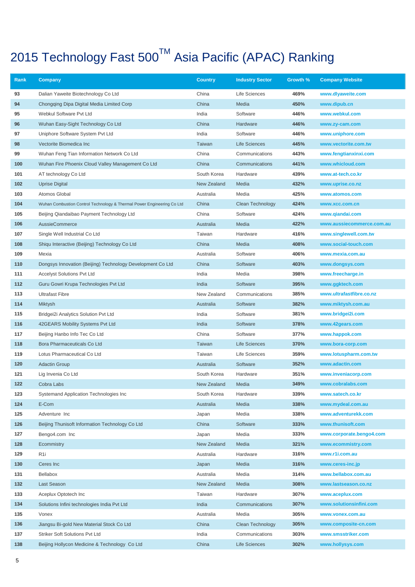| Rank       | Company                                                                | <b>Country</b> | <b>Industry Sector</b> | Growth %     | <b>Company Website</b>            |
|------------|------------------------------------------------------------------------|----------------|------------------------|--------------|-----------------------------------|
| 93         | Dalian Yaweite Biotechnology Co Ltd                                    | China          | Life Sciences          | 469%         | www.dlyaweite.com                 |
| 94         | Chongqing Dipa Digital Media Limited Corp                              | China          | Media                  | 450%         | www.dipub.cn                      |
| 95         | Webkul Software Pvt Ltd                                                | India          | Software               | 446%         | www.webkul.com                    |
| 96         | Wuhan Easy-Sight Technology Co Ltd                                     | China          | Hardware               | 446%         | www.zy-cam.com                    |
| 97         | Uniphore Software System Pvt Ltd                                       | India          | Software               | 446%         | www.uniphore.com                  |
| 98         | Vectorite Biomedica Inc                                                | Taiwan         | <b>Life Sciences</b>   | 445%         | www.vectorite.com.tw              |
| 99         | Wuhan Feng Tian Information Network Co Ltd                             | China          | Communications         | 443%         | www.fengtianxinxi.com             |
| 100        | Wuhan Fire Phoenix Cloud Valley Management Co Ltd                      | China          | Communications         | 441%         | www.whicloud.com                  |
| 101        | AT technology Co Ltd                                                   | South Korea    | Hardware               | 439%         | www.at-tech.co.kr                 |
| 102        | Uprise Digital                                                         | New Zealand    | Media                  | 432%         | www.uprise.co.nz                  |
| 103        | Atomos Global                                                          | Australia      | Media                  | 425%         | www.atomos.com                    |
| 104        | Wuhan Combustion Control Technology & Thermal Power Engineering Co Ltd | China          | Clean Technology       | 424%         | www.xcc.com.cn                    |
| 105        | Beijing Qiandaibao Payment Technology Ltd                              | China          | Software               | 424%         | www.qiandai.com                   |
| 106        | <b>AussieCommerce</b>                                                  | Australia      | Media                  | 422%         | www.aussiecommerce.com.au         |
| 107        | Single Well Industrial Co Ltd                                          | Taiwan         | Hardware               | 416%         | www.singlewell.com.tw             |
| 108        | Shiqu Interactive (Beijing) Technology Co Ltd                          | China          | Media                  | 408%         | www.social-touch.com              |
| 109        | Mexia                                                                  | Australia      | Software               | 406%         | www.mexia.com.au                  |
| 110        | Dongsys Innovation (Beijing) Technology Development Co Ltd             | China          | Software               | 403%         | www.dongsys.com                   |
| 111        | <b>Accelyst Solutions Pvt Ltd</b>                                      | India          | Media                  | 398%         | www.freecharge.in                 |
| 112        | Guru Gowri Krupa Technologies Pvt Ltd                                  | India          | Software               | 395%         | www.ggktech.com                   |
| 113        | <b>Ultrafast Fibre</b>                                                 | New Zealand    | Communications         | 385%         | www.ultrafastfibre.co.nz          |
| 114        | Miktysh                                                                | Australia      | Software               | 382%         | www.miktysh.com.au                |
| 115<br>116 | Bridgei2i Analytics Solution Pvt Ltd                                   | India<br>India | Software<br>Software   | 381%<br>378% | www.bridgei2i.com                 |
| 117        | 42GEARS Mobility Systems Pvt Ltd<br>Beijing Hanbo Info Tec Co Ltd      | China          | Software               | 377%         | www.42gears.com<br>www.happok.com |
| 118        | Bora Pharmaceuticals Co Ltd                                            | Taiwan         | <b>Life Sciences</b>   | 370%         | www.bora-corp.com                 |
| 119        | Lotus Pharmaceutical Co Ltd                                            | Taiwan         | Life Sciences          | 359%         | www.lotuspharm.com.tw             |
| 120        | <b>Adactin Group</b>                                                   | Australia      | Software               | 352%         | www.adactin.com                   |
| 121        | Lig Invenia Co Ltd                                                     | South Korea    | Hardware               | 351%         | www.inveniacorp.com               |
| 122        | Cobra Labs                                                             | New Zealand    | Media                  | 349%         | www.cobralabs.com                 |
| 123        | Systemand Application Technologies Inc                                 | South Korea    | Hardware               | 339%         | www.satech.co.kr                  |
| 124        | E-Com                                                                  | Australia      | Media                  | 338%         | www.mydeal.com.au                 |
| 125        | Adventure Inc                                                          | Japan          | Media                  | 338%         | www.adventurekk.com               |
| 126        | Beijing Thunisoft Information Technology Co Ltd                        | China          | Software               | 333%         | www.thunisoft.com                 |
| 127        | Bengo4.com Inc                                                         | Japan          | Media                  | 333%         | www.corporate.bengo4.com          |
| 128        | Ecommistry                                                             | New Zealand    | Media                  | 321%         | www.ecommistry.com                |
| 129        | R <sub>1</sub>                                                         | Australia      | Hardware               | 316%         | www.r1i.com.au                    |
| 130        | Ceres Inc                                                              | Japan          | Media                  | 316%         | www.ceres-inc.jp                  |
| 131        | Bellabox                                                               | Australia      | Media                  | 314%         | www.bellabox.com.au               |
| 132        | Last Season                                                            | New Zealand    | Media                  | 308%         | www.lastseason.co.nz              |
| 133        | Aceplux Optotech Inc                                                   | Taiwan         | Hardware               | 307%         | www.aceplux.com                   |
| 134        | Solutions Infini technologies India Pvt Ltd                            | India          | Communications         | 307%         | www.solutionsinfini.com           |
| 135        | Vonex                                                                  | Australia      | Media                  | 305%         | www.vonex.com.au                  |
| 136        | Jiangsu Bi-gold New Material Stock Co Ltd                              | China          | Clean Technology       | 305%         | www.composite-cn.com              |
| 137        | <b>Striker Soft Solutions Pvt Ltd</b>                                  | India          | Communications         | 303%         | www.smsstriker.com                |
| 138        | Beijing Hollycon Medicine & Technology Co Ltd                          | China          | Life Sciences          | 302%         | www.hollysys.com                  |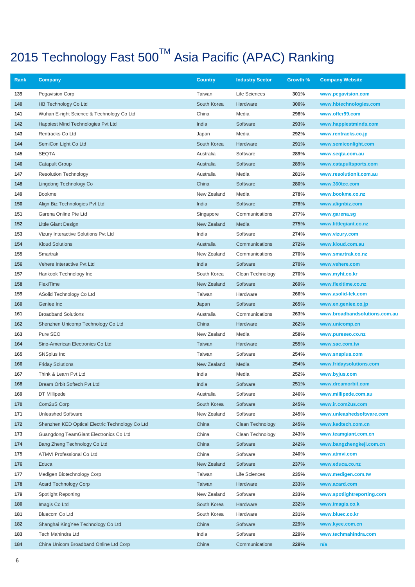| Rank       | Company                                                                                   | <b>Country</b> | <b>Industry Sector</b>               | Growth %     | <b>Company Website</b>                     |
|------------|-------------------------------------------------------------------------------------------|----------------|--------------------------------------|--------------|--------------------------------------------|
| 139        | Pegavision Corp                                                                           | Taiwan         | Life Sciences                        | 301%         | www.pegavision.com                         |
| 140        | <b>HB Technology Co Ltd</b>                                                               | South Korea    | Hardware                             | 300%         | www.hbtechnologies.com                     |
| 141        | Wuhan E-right Science & Technology Co Ltd                                                 | China          | Media                                | 298%         | www.offer99.com                            |
| 142        | Happiest Mind Technologies Pvt Ltd                                                        | India          | Software                             | 293%         | www.happiestminds.com                      |
| 143        | Rentracks Co Ltd                                                                          | Japan          | Media                                | 292%         | www.rentracks.co.jp                        |
| 144        | SemiCon Light Co Ltd                                                                      | South Korea    | Hardware                             | 291%         | www.semiconlight.com                       |
| 145        | <b>SEQTA</b>                                                                              | Australia      | Software                             | 289%         | www.seqta.com.au                           |
| 146        | <b>Catapult Group</b>                                                                     | Australia      | Software                             | 289%         | www.catapultsports.com                     |
| 147        | <b>Resolution Technology</b>                                                              | Australia      | Media                                | 281%         | www.resolutionit.com.au                    |
| 148        | Lingdong Technology Co                                                                    | China          | Software                             | 280%         | www.360tec.com                             |
| 149        | <b>Bookme</b>                                                                             | New Zealand    | Media                                | 278%         | www.bookme.co.nz                           |
| 150        | Align Biz Technologies Pvt Ltd                                                            | India          | Software                             | 278%         | www.alignbiz.com                           |
| 151        | Garena Online Pte Ltd                                                                     | Singapore      | Communications                       | 277%         | www.garena.sg                              |
| 152        | Little Giant Design                                                                       | New Zealand    | Media                                | 275%         | www.littlegiant.co.nz                      |
| 153        | Vizury Interactive Solutions Pvt Ltd                                                      | India          | Software                             | 274%         | www.vizury.com                             |
| 154        | <b>Kloud Solutions</b>                                                                    | Australia      | Communications                       | 272%         | www.kloud.com.au                           |
| 155        | Smartrak                                                                                  | New Zealand    | Communications                       | 270%         | www.smartrak.co.nz                         |
| 156        | Vehere Interactive Pvt Ltd                                                                | India          | Software                             | 270%         | www.vehere.com                             |
| 157        | Hankook Technology Inc                                                                    | South Korea    | Clean Technology                     | 270%         | www.myht.co.kr                             |
| 158        | FlexiTime                                                                                 | New Zealand    | Software                             | 269%         | www.flexitime.co.nz                        |
| 159        | ASolid Technology Co Ltd                                                                  | Taiwan         | Hardware                             | 266%         | www.asolid-tek.com                         |
| 160        | Geniee Inc                                                                                | Japan          | Software                             | 265%         | www.en.geniee.co.jp                        |
| 161        | <b>Broadband Solutions</b>                                                                | Australia      | Communications                       | 263%         | www.broadbandsolutions.com.au              |
| 162        | Shenzhen Unicomp Technology Co Ltd                                                        | China          | Hardware                             | 262%         | www.unicomp.cn                             |
| 163        | Pure SEO                                                                                  | New Zealand    | Media                                | 258%         | www.pureseo.co.nz                          |
| 164        | Sino-American Electronics Co Ltd                                                          | Taiwan         | Hardware                             | 255%         | www.sac.com.tw                             |
| 165        | SNSplus Inc                                                                               | Taiwan         | Software                             | 254%         | www.snsplus.com                            |
| 166        | <b>Friday Solutions</b>                                                                   | New Zealand    | Media                                | 254%         | www.fridaysolutions.com                    |
| 167        | Think & Learn Pvt Ltd                                                                     | India          | Media                                | 252%         | www.byjus.com                              |
| 168        | Dream Orbit Softech Pvt Ltd                                                               | India          | Software                             | 251%         | www.dreamorbit.com                         |
| 169        | DT Millipede                                                                              | Australia      | Software                             | 246%         | www.millipede.com.au                       |
| 170        | Com2uS Corp                                                                               | South Korea    | Software                             | 245%         | www.ir.com2us.com                          |
| 171        | <b>Unleashed Software</b>                                                                 | New Zealand    | Software                             | 245%         | www.unleashedsoftware.com                  |
| 172<br>173 | Shenzhen KED Optical Electric Technology Co Ltd<br>Guangdong TeamGiant Electronics Co Ltd | China<br>China | Clean Technology<br>Clean Technology | 245%<br>243% | www.kedtech.com.cn<br>www.teamgiant.com.cn |
| 174        | Bang Zheng Technology Co Ltd                                                              | China          | Software                             | 242%         | www.bangzhengkeji.com.cn                   |
| 175        | <b>ATMVI Professional Co Ltd</b>                                                          | China          | Software                             | 240%         | www.atmvi.com                              |
| 176        | Educa                                                                                     | New Zealand    | Software                             | 237%         | www.educa.co.nz                            |
| 177        | Medigen Biotechnology Corp                                                                | Taiwan         | Life Sciences                        | 235%         | www.medigen.com.tw                         |
| 178        | <b>Acard Technology Corp</b>                                                              | Taiwan         | Hardware                             | 233%         | www.acard.com                              |
| 179        | <b>Spotlight Reporting</b>                                                                | New Zealand    | Software                             | 233%         | www.spotlightreporting.com                 |
| 180        | Imagis Co Ltd                                                                             | South Korea    | Hardware                             | 232%         | www.imagis.co.k                            |
| 181        | Bluecom Co Ltd                                                                            | South Korea    | Hardware                             | 231%         | www.bluec.co.kr                            |
| 182        | Shanghai KingYee Technology Co Ltd                                                        | China          | Software                             | 229%         | www.kyee.com.cn                            |
| 183        | Tech Mahindra Ltd                                                                         | India          | Software                             | 229%         | www.techmahindra.com                       |
| 184        | China Unicom Broadband Online Ltd Corp                                                    | China          | Communications                       | 229%         | n/a                                        |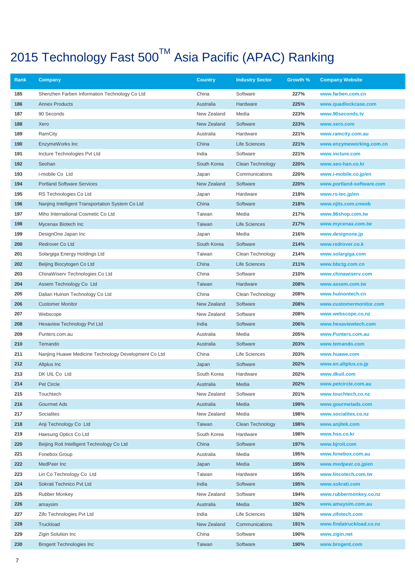| Rank       | Company                                              | <b>Country</b>           | <b>Industry Sector</b> | Growth %     | <b>Company Website</b>                      |
|------------|------------------------------------------------------|--------------------------|------------------------|--------------|---------------------------------------------|
| 185        | Shenzhen Farben Information Technology Co Ltd        | China                    | Software               | 227%         | www.farben.com.cn                           |
| 186        | <b>Annex Products</b>                                | Australia                | Hardware               | 225%         | www.quadlockcase.com                        |
| 187        | 90 Seconds                                           | New Zealand              | Media                  | 223%         | www.90seconds.tv                            |
| 188        | Xero                                                 | New Zealand              | Software               | 223%         | www.xero.com                                |
| 189        | RamCity                                              | Australia                | Hardware               | 221%         | www.ramcity.com.au                          |
| 190        | EnzymeWorks Inc                                      | China                    | <b>Life Sciences</b>   | 221%         | www.enzymeworking.com.cn                    |
| 191        | Incture Technologies Pvt Ltd                         | India                    | Software               | 221%         | www.incture.com                             |
| 192        | Seohan                                               | South Korea              | Clean Technology       | 220%         | www.seo-han.co.kr                           |
| 193        | i-mobile Co Ltd                                      | Japan                    | Communications         | 220%         | www.i-mobile.co.jp/en                       |
| 194        | <b>Portland Software Services</b>                    | New Zealand              | Software               | 220%         | www.portland-software.com                   |
| 195        | RS Technologies Co Ltd                               | Japan                    | Hardware               | 219%         | www.rs-tec.jp/en                            |
| 196        | Nanjing Intelligent Transportation System Co Ltd     | China                    | Software               | 218%         | www.njits.com.cnweb                         |
| 197        | Miho International Cosmetic Co Ltd                   | Taiwan                   | Media                  | 217%         | www.86shop.com.tw                           |
| 198        | Mycenax Biotech Inc                                  | Taiwan                   | <b>Life Sciences</b>   | 217%         | www.mycenax.com.tw                          |
| 199        | DesignOne Japan Inc                                  | Japan                    | Media                  | 216%         | www.designone.jp                            |
| 200        | Redrover Co Ltd                                      | South Korea              | Software               | 214%         | www.redrover.co.k                           |
| 201        | Solargiga Energy Holdings Ltd                        | Taiwan                   | Clean Technology       | 214%         | www.solargiga.com                           |
| 202        | Beijing Biocytogen Co Ltd                            | China                    | <b>Life Sciences</b>   | 211%         | www.bbctg.com.cn                            |
| 203        | ChinaWiserv Technologies Co Ltd                      | China                    | Software               | 210%         | www.chinawiserv.com                         |
| 204        | Assem Technology Co Ltd                              | Taiwan                   | Hardware               | 208%         | www.assem.com.tw                            |
| 205        | Dalian Huinon Technology Co Ltd                      | China                    | Clean Technology       | 208%         | www.huinontech.cn                           |
| 206        | <b>Customer Monitor</b>                              | New Zealand              | Software               | 208%         | www.customermonitor.com                     |
| 207        | Webscope                                             | New Zealand              | Software               | 208%         | www.webscope.co.nz                          |
| 208        | <b>Hexaview Technology Pvt Ltd</b>                   | India                    | Software               | 206%         | www.hexaviewtech.com                        |
| 209        | Punters.com.au                                       | Australia                | Media                  | 205%         | www.Punters.com.au                          |
| 210        | Temando                                              | Australia                | Software               | 203%         | www.temando.com                             |
| 211        | Nanjing Huawe Medicine Technology Development Co Ltd | China                    | Life Sciences          | 203%         | www.huawe.com                               |
| 212        | Altplus Inc                                          | Japan                    | Software               | 202%         | www.en.altplus.co.jp                        |
| 213<br>214 | DK UIL Co Ltd                                        | South Korea              | Hardware               | 202%         | www.dkuil.com                               |
| 215        | <b>Pet Circle</b><br>Touchtech                       | Australia<br>New Zealand | Media<br>Software      | 202%<br>201% | www.petcircle.com.au<br>www.touchtech.co.nz |
| 216        | Gourmet Ads                                          | Australia                | Media                  | 199%         | www.gourmetads.com                          |
| 217        | <b>Socialites</b>                                    | New Zealand              | Media                  | 198%         | www.socialites.co.nz                        |
| 218        | Anji Technology Co Ltd                               | Taiwan                   | Clean Technology       | 198%         | www.anjitek.com                             |
| 219        | Haesung Optics Co Ltd                                | South Korea              | Hardware               | 198%         | www.hso.co.kr                               |
| 220        | Beijing Roit Intelligent Technology Co Ltd           | China                    | Software               | 197%         | www.bjroit.com                              |
| 221        | Fonebox Group                                        | Australia                | Media                  | 195%         | www.fonebox.com.au                          |
| 222        | MedPeer Inc                                          | Japan                    | Media                  | 195%         | www.medpeer.co.jp/en                        |
| 223        | Lin Co Technology Co Ltd                             | Taiwan                   | Hardware               | 195%         | www.lincotech.com.tw                        |
| 224        | Sokrati Technico Pvt Ltd                             | India                    | Software               | 195%         | www.sokrati.com                             |
| 225        | <b>Rubber Monkey</b>                                 | New Zealand              | Software               | 194%         | www.rubbermonkey.co.nz                      |
| 226        | amaysim                                              | Australia                | Media                  | 192%         | www.amaysim.com.au                          |
| 227        | Zifo Technologies Pvt Ltd                            | India                    | Life Sciences          | 192%         | www.zifotech.com                            |
| 228        | Truckload                                            | New Zealand              | Communications         | 191%         | www.findatruckload.co.nz                    |
| 229        | Zigin Solution Inc                                   | China                    | Software               | 190%         | www.zigin.net                               |
| 230        | <b>Brogent Technologies Inc.</b>                     | Taiwan                   | Software               | 190%         | www.brogent.com                             |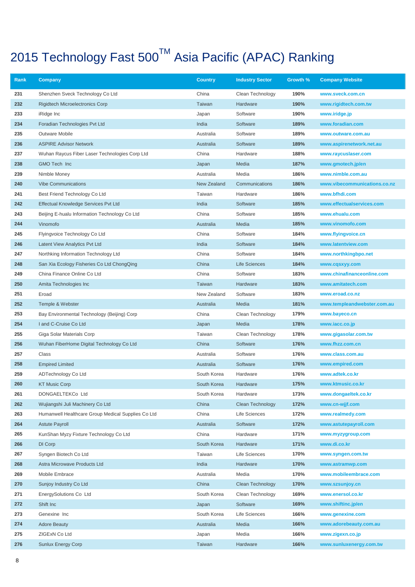| Rank | Company                                            | <b>Country</b> | <b>Industry Sector</b>  | Growth % | <b>Company Website</b>       |
|------|----------------------------------------------------|----------------|-------------------------|----------|------------------------------|
| 231  | Shenzhen Sveck Technology Co Ltd                   | China          | Clean Technology        | 190%     | www.sveck.com.cn             |
| 232  | <b>Rigidtech Microelectronics Corp</b>             | Taiwan         | Hardware                | 190%     | www.rigidtech.com.tw         |
| 233  | iRidge Inc                                         | Japan          | Software                | 190%     | www.iridge.jp                |
| 234  | Foradian Technologies Pvt Ltd                      | India          | Software                | 189%     | www.foradian.com             |
| 235  | <b>Outware Mobile</b>                              | Australia      | Software                | 189%     | www.outware.com.au           |
| 236  | <b>ASPIRE Advisor Network</b>                      | Australia      | Software                | 189%     | www.aspirenetwork.net.au     |
| 237  | Wuhan Raycus Fiber Laser Technologies Corp Ltd     | China          | Hardware                | 188%     | www.raycuslaser.com          |
| 238  | GMO Tech Inc                                       | Japan          | Media                   | 187%     | www.gmotech.jp/en            |
| 239  | Nimble Money                                       | Australia      | Media                   | 186%     | www.nimble.com.au            |
| 240  | <b>Vibe Communications</b>                         | New Zealand    | Communications          | 186%     | www.vibecommunications.co.nz |
| 241  | Best Friend Technology Co Ltd                      | Taiwan         | Hardware                | 186%     | www.bfhdi.com                |
| 242  | Effectual Knowledge Services Pvt Ltd               | India          | Software                | 185%     | www.effectualservices.com    |
| 243  | Beijing E-hualu Information Technology Co Ltd      | China          | Software                | 185%     | www.ehualu.com               |
| 244  | Vinomofo                                           | Australia      | Media                   | 185%     | www.vinomofo.com             |
| 245  | Flyingvoice Technology Co Ltd                      | China          | Software                | 184%     | www.flyingvoice.cn           |
| 246  | Latent View Analytics Pvt Ltd                      | India          | Software                | 184%     | www.latentview.com           |
| 247  | Northking Information Technology Ltd               | China          | Software                | 184%     | www.northkingbpo.net         |
| 248  | San Xia Ecology Fisheries Co Ltd ChongQing         | China          | <b>Life Sciences</b>    | 184%     | www.cqsxyy.com               |
| 249  | China Finance Online Co Ltd                        | China          | Software                | 183%     | www.chinafinanceonline.com   |
| 250  | Amita Technologies Inc                             | Taiwan         | Hardware                | 183%     | www.amitatech.com            |
| 251  | Eroad                                              | New Zealand    | Software                | 183%     | www.eroad.co.nz              |
| 252  | Temple & Webster                                   | Australia      | Media                   | 181%     | www.templeandwebster.com.au  |
| 253  | Bay Environmental Technology (Beijing) Corp        | China          | Clean Technology        | 179%     | www.bayeco.cn                |
| 254  | I and C-Cruise Co Ltd                              | Japan          | Media                   | 178%     | www.iacc.co.jp               |
| 255  | Giga Solar Materials Corp                          | Taiwan         | Clean Technology        | 178%     | www.gigasolar.com.tw         |
| 256  | Wuhan FiberHome Digital Technology Co Ltd          | China          | Software                | 176%     | www.fhzz.com.cn              |
| 257  | Class                                              | Australia      | Software                | 176%     | www.class.com.au             |
| 258  | <b>Empired Limited</b>                             | Australia      | Software                | 176%     | www.empired.com              |
| 259  | ADTechnology Co Ltd                                | South Korea    | Hardware                | 176%     | www.adtek.co.kr              |
| 260  | <b>KT Music Corp</b>                               | South Korea    | Hardware                | 175%     | www.ktmusic.co.kr            |
| 261  | DONGAELTEKCo Ltd                                   | South Korea    | Hardware                | 173%     | www.dongaeltek.co.kr         |
| 262  | Wujiangshi Juli Machinery Co Ltd                   | China          | <b>Clean Technology</b> | 172%     | www.cn-wjjf.com              |
| 263  | Humanwell Healthcare Group Medical Supplies Co Ltd | China          | Life Sciences           | 172%     | www.realmedy.com             |
| 264  | <b>Astute Payroll</b>                              | Australia      | Software                | 172%     | www.astutepayroll.com        |
| 265  | KunShan Myzy Fixture Technology Co Ltd             | China          | Hardware                | 171%     | www.myzygroup.com            |
| 266  | DI Corp                                            | South Korea    | Hardware                | 171%     | www.di.co.kr                 |
| 267  | Syngen Biotech Co Ltd                              | Taiwan         | Life Sciences           | 170%     | www.syngen.com.tw            |
| 268  | Astra Microwave Products Ltd                       | India          | Hardware                | 170%     | www.astramwp.com             |
| 269  | Mobile Embrace                                     | Australia      | Media                   | 170%     | www.mobileembrace.com        |
| 270  | Sunjoy Industry Co Ltd                             | China          | Clean Technology        | 170%     | www.szsunjoy.cn              |
| 271  | EnergySolutions Co Ltd                             | South Korea    | Clean Technology        | 169%     | www.enersol.co.kr            |
| 272  | Shift Inc                                          | Japan          | Software                | 169%     | www.shiftinc.jp/en           |
| 273  | Genexine Inc                                       | South Korea    | Life Sciences           | 166%     | www.genexine.com             |
| 274  | <b>Adore Beauty</b>                                | Australia      | Media                   | 166%     | www.adorebeauty.com.au       |
| 275  | ZIGExN Co Ltd                                      | Japan          | Media                   | 166%     | www.zigexn.co.jp             |
| 276  | <b>Sunlux Energy Corp</b>                          | Taiwan         | Hardware                | 166%     | www.sunluxenergy.com.tw      |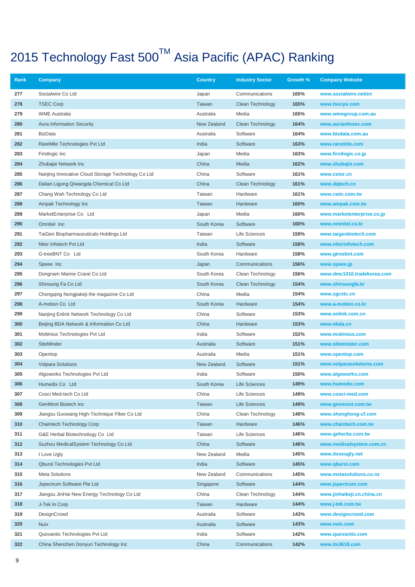| Rank       | <b>Company</b>                                     | <b>Country</b> | <b>Industry Sector</b> | Growth %     | <b>Company Website</b>           |
|------------|----------------------------------------------------|----------------|------------------------|--------------|----------------------------------|
| 277        | Socialwire Co Ltd                                  | Japan          | Communications         | 165%         | www.socialwire.net/en            |
| 278        | <b>TSEC Corp</b>                                   | Taiwan         | Clean Technology       | 165%         | www.tsecpv.com                   |
| 279        | <b>WME Australia</b>                               | Australia      | Media                  | 165%         | www.wmegroup.com.au              |
| 280        | <b>Aura Information Security</b>                   | New Zealand    | Clean Technology       | 164%         | www.aurainfosec.com              |
| 281        | <b>BizData</b>                                     | Australia      | Software               | 164%         | www.bizdata.com.au               |
| 282        | RareMile Technologies Pvt Ltd                      | India          | Software               | 163%         | www.raremile.com                 |
| 283        | Firstlogic Inc                                     | Japan          | Media                  | 163%         | www.firstlogic.co.jp             |
| 284        | Zhubajie Network Inc                               | China          | Media                  | 162%         | www.zhubajie.com                 |
| 285        | Nanjing Innovative Cloud Storage Technology Co Ltd | China          | Software               | 161%         | www.cstor.cn                     |
| 286        | Dalian Ligong Qiwangda Chemical Co Ltd             | China          | Clean Technology       | 161%         | www.dqtech.cn                    |
| 287        | Chang Wah Technology Co Ltd                        | Taiwan         | Hardware               | 161%         | www.cwtc.com.tw                  |
| 288        | Ampak Technology Inc                               | Taiwan         | Hardware               | 160%         | www.ampak.com.tw                 |
| 289        | MarketEnterprise Co Ltd                            | Japan          | Media                  | 160%         | www.marketenterprise.co.jp       |
| 290        | Omnitel Inc                                        | South Korea    | Software               | 160%         | www.omnitel.co.kr                |
| 291        | TaiGen Biopharmaceuticals Holdings Ltd             | Taiwan         | Life Sciences          | 159%         | www.taigenbiotech.com            |
| 292        | Nitor Infotech Pvt Ltd                             | India          | Software               | 158%         | www.nitorinfotech.com            |
| 293        | G-treeBNT Co Ltd                                   | South Korea    | Hardware               | 158%         | www.gtreebnt.com                 |
| 294        | Speee Inc                                          | Japan          | Communications         | 156%         | www.speee.jp                     |
| 295        | Dongnam Marine Crane Co Ltd                        | South Korea    | Clean Technology       | 156%         | www.dmc1010.tradekorea.com       |
| 296        | Shinsung Fa Co Ltd                                 | South Korea    | Clean Technology       | 154%         | www.shinsungfa.kr                |
| 297        | Chongqing Nongjiakeji the magazine Co Ltd          | China          | Media                  | 154%         | www.zgcxtc.cn                    |
| 298        | A-motion Co Ltd                                    | South Korea    | Hardware               | 154%         | www.a-motion.co.kr               |
| 299<br>300 | Nanjing Enlink Network Technology Co Ltd           | China          | Software               | 153%<br>153% | www.enlink.com.cn<br>www.ebda.cn |
| 301        | Beijing BDA Network & Information Co Ltd           | China<br>India | Hardware<br>Software   | 152%         | www.mobinius.com                 |
| 302        | Mobinius Technologies Pvt Ltd<br><b>SiteMinder</b> | Australia      | Software               | 151%         | www.siteminder.com               |
| 303        | Opentop                                            | Australia      | Media                  | 151%         | www.opentop.com                  |
| 304        | <b>Volpara Solutions</b>                           | New Zealand    | Software               | 151%         | www.volparasolutions.com         |
| 305        | Algoworks Technologies Pvt Ltd                     | India          | Software               | 150%         | www.algoworks.com                |
| 306        | Humedix Co Ltd                                     | South Korea    | Life Sciences          | 149%         | www.humedix.com                  |
| 307        | Cosci Med-tech Co Ltd                              | China          | Life Sciences          | 149%         | www.cosci-med.com                |
| 308        | GenMont Biotech Inc                                | Taiwan         | <b>Life Sciences</b>   | 149%         | www.genmont.com.tw               |
| 309        | Jiangsu Guowang High-Technique Fiber Co Ltd        | China          | Clean Technology       | 148%         | www.shenghong-cf.com             |
| 310        | <b>Chaintech Technology Corp</b>                   | Taiwan         | Hardware               | 146%         | www.chaintech.com.tw             |
| 311        | G&E Herbal Biotechnology Co Ltd                    | Taiwan         | Life Sciences          | 146%         | www.geherbs.com.tw               |
| 312        | Suzhou MedicalSystem Technology Co Ltd             | China          | Software               | 146%         | www.medicalsystem.com.cn         |
| 313        | I Love Ugly                                        | New Zealand    | Media                  | 145%         | www.iloveugly.net                |
| 314        | <b>Qburst Technologies Pvt Ltd</b>                 | India          | Software               | 145%         | www.qburst.com                   |
| 315        | <b>Meta Solutions</b>                              | New Zealand    | Communications         | 145%         | www.metasolutions.co.nz          |
| 316        | Jspectrum Software Pte Ltd                         | Singapore      | Software               | 144%         | www.jspectrum.com                |
| 317        | Jiangsu JinHai New Energy Technology Co Ltd        | China          | Clean Technology       | 144%         | www.jinhaikeji.cn.china.cn       |
| 318        | J-Tek In Corp                                      | Taiwan         | Hardware               | 144%         | www.j-tek.com.tw                 |
| 319        | DesignCrowd                                        | Australia      | Software               | 143%         | www.designcrowd.com              |
| 320        | <b>Nuix</b>                                        | Australia      | Software               | 143%         | www.nuix.com                     |
| 321        | Quovantis Technologies Pvt Ltd                     | India          | Software               | 142%         | www.quovantis.com                |
| 322        | China Shenzhen Donyun Technology Inc               | China          | Communications         | 142%         | www.its3618.com                  |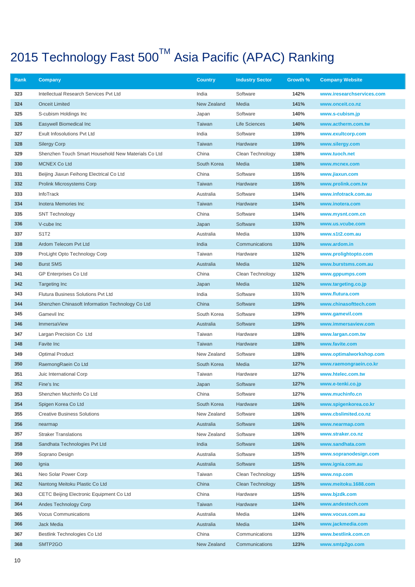| Rank       | Company                                             | <b>Country</b>             | <b>Industry Sector</b> | Growth %     | <b>Company Website</b>                        |
|------------|-----------------------------------------------------|----------------------------|------------------------|--------------|-----------------------------------------------|
| 323        | Intellectual Research Services Pvt Ltd              | India                      | Software               | 142%         | www.iresearchservices.com                     |
| 324        | <b>Onceit Limited</b>                               | New Zealand                | Media                  | 141%         | www.onceit.co.nz                              |
| 325        | S-cubism Holdings Inc                               | Japan                      | Software               | 140%         | www.s-cubism.jp                               |
| 326        | Easywell Biomedical Inc                             | Taiwan                     | <b>Life Sciences</b>   | 140%         | www.actherm.com.tw                            |
| 327        | Exult Infosolutions Pvt Ltd                         | India                      | Software               | 139%         | www.exultcorp.com                             |
| 328        | <b>Silergy Corp</b>                                 | Taiwan                     | Hardware               | 139%         | www.silergy.com                               |
| 329        | Shenzhen Touch Smart Household New Materials Co Ltd | China                      | Clean Technology       | 138%         | www.tuoch.net                                 |
| 330        | <b>MCNEX Co Ltd</b>                                 | South Korea                | Media                  | 138%         | www.mcnex.com                                 |
| 331        | Beijing Jiaxun Feihong Electrical Co Ltd            | China                      | Software               | 135%         | www.jiaxun.com                                |
| 332        | Prolink Microsystems Corp                           | Taiwan                     | Hardware               | 135%         | www.prolink.com.tw                            |
| 333        | InfoTrack                                           | Australia                  | Software               | 134%         | www.infotrack.com.au                          |
| 334        | Inotera Memories Inc                                | Taiwan                     | Hardware               | 134%         | www.inotera.com                               |
| 335        | <b>SNT Technology</b>                               | China                      | Software               | 134%         | www.mysnt.com.cn                              |
| 336        | V-cube Inc                                          | Japan                      | Software               | 133%         | www.us.vcube.com                              |
| 337        | S1T2                                                | Australia                  | Media                  | 133%         | www.s1t2.com.au                               |
| 338        | Ardom Telecom Pvt Ltd                               | India                      | Communications         | 133%         | www.ardom.in                                  |
| 339        | ProLight Opto Technology Corp                       | Taiwan                     | Hardware               | 132%         | www.prolightopto.com                          |
| 340        | <b>Burst SMS</b>                                    | Australia                  | Media                  | 132%         | www.burstsms.com.au                           |
| 341        | <b>GP Enterprises Co Ltd</b>                        | China                      | Clean Technology       | 132%         | www.gppumps.com                               |
| 342        | <b>Targeting Inc</b>                                | Japan                      | Media                  | 132%         | www.targeting.co.jp                           |
| 343        | Flutura Business Solutions Pvt Ltd                  | India                      | Software               | 131%         | www.flutura.com                               |
| 344        | Shenzhen Chinasoft Information Technology Co Ltd    | China                      | Software               | 129%         | www.chinasofttech.com                         |
| 345        | Gamevil Inc                                         | South Korea                | Software               | 129%         | www.gamevil.com                               |
| 346        | <b>ImmersaView</b>                                  | Australia                  | Software               | 129%         | www.immersaview.com                           |
| 347        | Largan Precision Co Ltd                             | Taiwan                     | Hardware               | 128%         | www.largan.com.tw                             |
| 348        | Favite Inc                                          | Taiwan                     | Hardware               | 128%         | www.favite.com                                |
| 349        | <b>Optimal Product</b>                              | New Zealand                | Software               | 128%         | www.optimalworkshop.com                       |
| 350        | RaemongRaein Co Ltd                                 | South Korea                | Media                  | 127%         | www.raemongraein.co.kr                        |
| 351        | Juic International Corp                             | Taiwan                     | Hardware               | 127%         | www.htelec.com.tw                             |
| 352        | Fine's Inc                                          | Japan                      | Software               | 127%<br>127% | www.e-tenki.co.jp                             |
| 353<br>354 | Shenzhen Muchinfo Co Ltd<br>Spigen Korea Co Ltd     | China                      | Software               | 126%         | www.muchinfo.cn                               |
| 355        | <b>Creative Business Solutions</b>                  | South Korea<br>New Zealand | Hardware<br>Software   | 126%         | www.spigenkorea.co.kr<br>www.cbslimited.co.nz |
| 356        |                                                     | Australia                  | Software               | 126%         | www.nearmap.com                               |
| 357        | nearmap<br><b>Straker Translations</b>              | New Zealand                | Software               | 126%         | www.straker.co.nz                             |
| 358        | Sandhata Technologies Pvt Ltd                       | India                      | Software               | 126%         | www.sandhata.com                              |
| 359        | Soprano Design                                      | Australia                  | Software               | 125%         | www.sopranodesign.com                         |
| 360        | Ignia                                               | Australia                  | Software               | 125%         | www.ignia.com.au                              |
| 361        | Neo Solar Power Corp                                | Taiwan                     | Clean Technology       | 125%         | www.nsp.com                                   |
| 362        | Nantong Meitoku Plastic Co Ltd                      | China                      | Clean Technology       | 125%         | www.meitoku.1688.com                          |
| 363        | CETC Beijing Electronic Equipment Co Ltd            | China                      | Hardware               | 125%         | www.bjzdk.com                                 |
| 364        | Andes Technology Corp                               | Taiwan                     | Hardware               | 124%         | www.andestech.com                             |
| 365        | <b>Vocus Communications</b>                         | Australia                  | Media                  | 124%         | www.vocus.com.au                              |
| 366        | Jack Media                                          | Australia                  | Media                  | 124%         | www.jackmedia.com                             |
| 367        | Bestlink Technologies Co Ltd                        | China                      | Communications         | 123%         | www.bestlink.com.cn                           |
| 368        | SMTP2GO                                             | New Zealand                | Communications         | 123%         | www.smtp2go.com                               |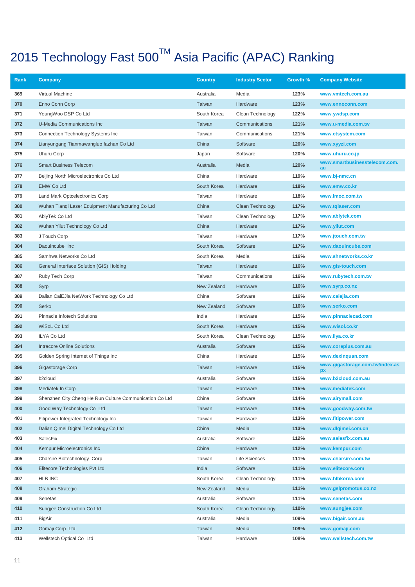| Rank | Company                                                 | <b>Country</b> | <b>Industry Sector</b>  | Growth % | <b>Company Website</b>                     |
|------|---------------------------------------------------------|----------------|-------------------------|----------|--------------------------------------------|
| 369  | Virtual Machine                                         | Australia      | Media                   | 123%     | www.vmtech.com.au                          |
| 370  | Enno Conn Corp                                          | Taiwan         | Hardware                | 123%     | www.ennoconn.com                           |
| 371  | YoungWoo DSP Co Ltd                                     | South Korea    | Clean Technology        | 122%     | www.ywdsp.com                              |
| 372  | U-Media Communications Inc                              | Taiwan         | Communications          | 121%     | www.u-media.com.tw                         |
| 373  | Connection Technology Systems Inc                       | Taiwan         | Communications          | 121%     | www.ctsystem.com                           |
| 374  | Lianyungang Tianmawangluo fazhan Co Ltd                 | China          | Software                | 120%     | www.xyyzi.com                              |
| 375  | Uhuru Corp                                              | Japan          | Software                | 120%     | www.uhuru.co.jp                            |
| 376  | <b>Smart Business Telecom</b>                           | Australia      | Media                   | 120%     | www.smartbusinesstelecom.com.<br><b>au</b> |
| 377  | Beijing North Microelectronics Co Ltd                   | China          | Hardware                | 119%     | www.bj-nmc.cn                              |
| 378  | <b>EMW Co Ltd</b>                                       | South Korea    | Hardware                | 118%     | www.emw.co.kr                              |
| 379  | Land Mark Optcelectronics Corp                          | Taiwan         | Hardware                | 118%     | www.Imoc.com.tw                            |
| 380  | Wuhan Tiangi Laser Equipment Manufacturing Co Ltd       | China          | Clean Technology        | 117%     | www.tqlaser.com                            |
| 381  | AblyTek Co Ltd                                          | Taiwan         | Clean Technology        | 117%     | www.ablytek.com                            |
| 382  | Wuhan Yilut Technology Co Ltd                           | China          | Hardware                | 117%     | www.yilut.com                              |
| 383  | J Touch Corp                                            | Taiwan         | Hardware                | 117%     | www.jtouch.com.tw                          |
| 384  | Daouincube Inc                                          | South Korea    | Software                | 117%     | www.daouincube.com                         |
| 385  | Samhwa Networks Co Ltd                                  | South Korea    | Media                   | 116%     | www.shnetworks.co.kr                       |
| 386  | General Interface Solution (GIS) Holding                | Taiwan         | Hardware                | 116%     | www.gis-touch.com                          |
| 387  | Ruby Tech Corp                                          | Taiwan         | Communications          | 116%     | www.rubytech.com.tw                        |
| 388  | Syrp                                                    | New Zealand    | Hardware                | 116%     | www.syrp.co.nz                             |
| 389  | Dalian CaiEJia NetWork Technology Co Ltd                | China          | Software                | 116%     | www.caiejia.com                            |
| 390  | Serko                                                   | New Zealand    | Software                | 116%     | www.serko.com                              |
| 391  | Pinnacle Infotech Solutions                             | India          | Hardware                | 115%     | www.pinnaclecad.com                        |
| 392  | WiSoL Co Ltd                                            | South Korea    | Hardware                | 115%     | www.wisol.co.kr                            |
| 393  | <b>ILYA Co Ltd</b>                                      | South Korea    | Clean Technology        | 115%     | www.ilya.co.kr                             |
| 394  | <b>Intracore Online Solutions</b>                       | Australia      | Software                | 115%     | www.coreplus.com.au                        |
| 395  | Golden Spring Internet of Things Inc                    | China          | Hardware                | 115%     | www.dexinquan.com                          |
| 396  | Gigastorage Corp                                        | Taiwan         | Hardware                | 115%     | www.gigastorage.com.tw/index.as<br>px      |
| 397  | b <sub>2</sub> cloud                                    | Australia      | Software                | 115%     | www.b2cloud.com.au                         |
| 398  | Mediatek In Corp                                        | Taiwan         | Hardware                | 115%     | www.mediatek.com                           |
| 399  | Shenzhen City Cheng He Run Culture Communication Co Ltd | China          | Software                | 114%     | www.airymall.com                           |
| 400  | Good Way Technology Co Ltd                              | Taiwan         | Hardware                | 114%     | www.goodway.com.tw                         |
| 401  | Fitipower Integrated Technology Inc                     | Taiwan         | Hardware                | 113%     | www.fitipower.com                          |
| 402  | Dalian Qimei Digital Technology Co Ltd                  | China          | Media                   | 113%     | www.dlqimei.com.cn                         |
| 403  | SalesFix                                                | Australia      | Software                | 112%     | www.salesfix.com.au                        |
| 404  | Kempur Microelectronics Inc                             | China          | Hardware                | 112%     | www.kempur.com                             |
| 405  | Charsire Biotechnology Corp                             | Taiwan         | Life Sciences           | 111%     | www.charsire.com.tw                        |
| 406  | Elitecore Technologies Pvt Ltd                          | India          | Software                | 111%     | www.elitecore.com                          |
| 407  | <b>HLB INC</b>                                          | South Korea    | Clean Technology        | 111%     | www.hlbkorea.com                           |
| 408  | <b>Graham Strategic</b>                                 | New Zealand    | Media                   | 111%     | www.gslpromotus.co.nz                      |
| 409  | Senetas                                                 | Australia      | Software                | 111%     | www.senetas.com                            |
| 410  | Sungjee Construction Co Ltd                             | South Korea    | <b>Clean Technology</b> | 110%     | www.sungjee.com                            |
| 411  | BigAir                                                  | Australia      | Media                   | 109%     | www.bigair.com.au                          |
| 412  | Gomaji Corp Ltd                                         | Taiwan         | Media                   | 109%     | www.gomaji.com                             |
| 413  | Wellstech Optical Co Ltd                                | Taiwan         | Hardware                | 108%     | www.wellstech.com.tw                       |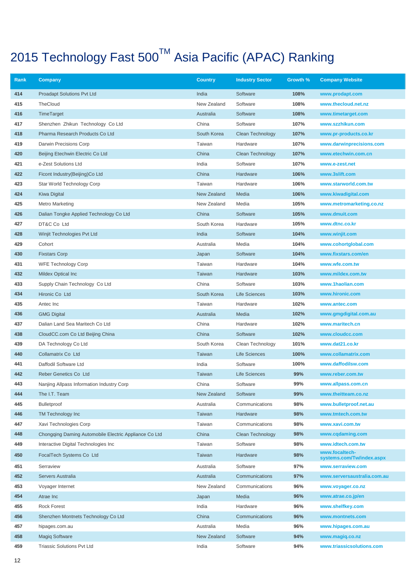| Rank | Company                                               | <b>Country</b> | <b>Industry Sector</b> | Growth % | <b>Company Website</b>                      |
|------|-------------------------------------------------------|----------------|------------------------|----------|---------------------------------------------|
| 414  | <b>Proadapt Solutions Pvt Ltd</b>                     | India          | Software               | 108%     | www.prodapt.com                             |
| 415  | TheCloud                                              | New Zealand    | Software               | 108%     | www.thecloud.net.nz                         |
| 416  | TimeTarget                                            | Australia      | Software               | 108%     | www.timetarget.com                          |
| 417  | Shenzhen Zhikun Technology Co Ltd                     | China          | Software               | 107%     | www.szzhikun.com                            |
| 418  | Pharma Research Products Co Ltd                       | South Korea    | Clean Technology       | 107%     | www.pr-products.co.kr                       |
| 419  | Darwin Precisions Corp                                | Taiwan         | Hardware               | 107%     | www.darwinprecisions.com                    |
| 420  | Beijing Etechwin Electric Co Ltd                      | China          | Clean Technology       | 107%     | www.etechwin.com.cn                         |
| 421  | e-Zest Solutions Ltd                                  | India          | Software               | 107%     | www.e-zest.net                              |
| 422  | Ficont Industry(Beijing)Co Ltd                        | China          | Hardware               | 106%     | www.3slift.com                              |
| 423  | Star World Technology Corp                            | Taiwan         | Hardware               | 106%     | www.starworld.com.tw                        |
| 424  | <b>Kiwa Digital</b>                                   | New Zealand    | Media                  | 106%     | www.kiwadigital.com                         |
| 425  | <b>Metro Marketing</b>                                | New Zealand    | Media                  | 105%     | www.metromarketing.co.nz                    |
| 426  | Dalian Tongke Applied Technology Co Ltd               | China          | Software               | 105%     | www.dmuit.com                               |
| 427  | DT&C Co Ltd                                           | South Korea    | Hardware               | 105%     | www.dtnc.co.kr                              |
| 428  | Winjit Technologies Pvt Ltd                           | India          | Software               | 104%     | www.winjit.com                              |
| 429  | Cohort                                                | Australia      | Media                  | 104%     | www.cohortglobal.com                        |
| 430  | <b>Fixstars Corp</b>                                  | Japan          | Software               | 104%     | www.fixstars.com/en                         |
| 431  | <b>WFE Technology Corp</b>                            | Taiwan         | Hardware               | 104%     | www.wfe.com.tw                              |
| 432  | Mildex Optical Inc                                    | Taiwan         | Hardware               | 103%     | www.mildex.com.tw                           |
| 433  | Supply Chain Technology Co Ltd                        | China          | Software               | 103%     | www.1haolian.com                            |
| 434  | Hironic Co Ltd                                        | South Korea    | Life Sciences          | 103%     | www.hironic.com                             |
| 435  | Antec Inc                                             | Taiwan         | Hardware               | 102%     | www.antec.com                               |
| 436  | <b>GMG Digital</b>                                    | Australia      | Media                  | 102%     | www.gmgdigital.com.au                       |
| 437  | Dalian Land Sea Maritech Co Ltd                       | China          | Hardware               | 102%     | www.maritech.cn                             |
| 438  | CloudCC.com Co Ltd Beijing China                      | China          | Software               | 102%     | www.cloudcc.com                             |
| 439  | DA Technology Co Ltd                                  | South Korea    | Clean Technology       | 101%     | www.dat21.co.kr                             |
| 440  | Collamatrix Co Ltd                                    | Taiwan         | Life Sciences          | 100%     | www.collamatrix.com                         |
| 441  | Daffodil Software Ltd                                 | India          | Software               | 100%     | www.daffodilsw.com                          |
| 442  | Reber Genetics Co Ltd                                 | Taiwan         | Life Sciences          | 99%      | www.reber.com.tw                            |
| 443  | Nanjing Allpass Information Industry Corp             | China          | Software               | 99%      | www.allpass.com.cn                          |
| 444  | The I.T. Team                                         | New Zealand    | Software               | 99%      | www.theitteam.co.nz                         |
| 445  | <b>Bulletproof</b>                                    | Australia      | Communications         | 98%      | www.bulletproof.net.au                      |
| 446  | TM Technology Inc                                     | Taiwan         | Hardware               | 98%      | www.tmtech.com.tw                           |
| 447  | Xavi Technologies Corp                                | Taiwan         | Communications         | 98%      | www.xavi.com.tw                             |
| 448  | Chongqing Daming Automobile Electric Appliance Co Ltd | China          | Clean Technology       | 98%      | www.cqdaming.com                            |
| 449  | Interactive Digital Technologies Inc                  | Taiwan         | Software               | 98%      | www.idtech.com.tw                           |
| 450  | FocalTech Systems Co Ltd                              | Taiwan         | Hardware               | 98%      | www.focaltech-<br>systems.com/Tw/index.aspx |
| 451  | Serraview                                             | Australia      | Software               | 97%      | www.serraview.com                           |
| 452  | Servers Australia                                     | Australia      | Communications         | 97%      | www.serversaustralia.com.au                 |
| 453  | Voyager Internet                                      | New Zealand    | Communications         | 96%      | www.voyager.co.nz                           |
| 454  | Atrae Inc                                             | Japan          | Media                  | 96%      | www.atrae.co.jp/en                          |
| 455  | <b>Rock Forest</b>                                    | India          | Hardware               | 96%      | www.shelfkey.com                            |
| 456  | Shenzhen Montnets Technology Co Ltd                   | China          | Communications         | 96%      | www.montnets.com                            |
| 457  | hipages.com.au                                        | Australia      | Media                  | 96%      | www.hipages.com.au                          |
| 458  | <b>Magiq Software</b>                                 | New Zealand    | Software               | 94%      | www.magiq.co.nz                             |
| 459  | <b>Triassic Solutions Pvt Ltd</b>                     | India          | Software               | 94%      | www.triassicsolutions.com                   |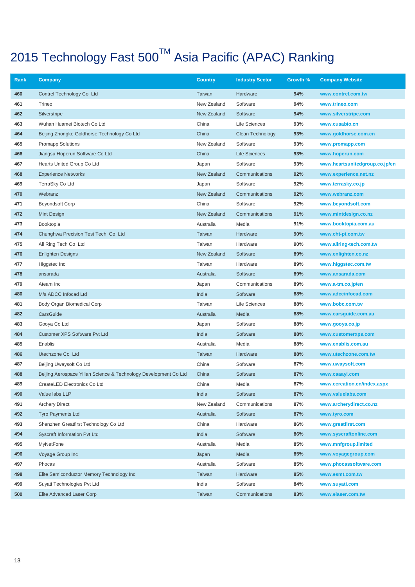| Rank | Company                                                          | <b>Country</b> | <b>Industry Sector</b> | Growth % | <b>Company Website</b>         |
|------|------------------------------------------------------------------|----------------|------------------------|----------|--------------------------------|
| 460  | Contrel Technology Co Ltd                                        | Taiwan         | Hardware               | 94%      | www.contrel.com.tw             |
| 461  | Trineo                                                           | New Zealand    | Software               | 94%      | www.trineo.com                 |
| 462  | Silverstripe                                                     | New Zealand    | Software               | 94%      | www.silverstripe.com           |
| 463  | Wuhan Huamei Biotech Co Ltd                                      | China          | Life Sciences          | 93%      | www.cusabio.cn                 |
| 464  | Beijing Zhongke Goldhorse Technology Co Ltd                      | China          | Clean Technology       | 93%      | www.goldhorse.com.cn           |
| 465  | <b>Promapp Solutions</b>                                         | New Zealand    | Software               | 93%      | www.promapp.com                |
| 466  | Jiangsu Hoperun Software Co Ltd                                  | China          | <b>Life Sciences</b>   | 93%      | www.hoperun.com                |
| 467  | Hearts United Group Co Ltd                                       | Japan          | Software               | 93%      | www.heartsunitedgroup.co.jp/en |
| 468  | <b>Experience Networks</b>                                       | New Zealand    | Communications         | 92%      | www.experience.net.nz          |
| 469  | TerraSky Co Ltd                                                  | Japan          | Software               | 92%      | www.terrasky.co.jp             |
| 470  | Webranz                                                          | New Zealand    | Communications         | 92%      | www.webranz.com                |
| 471  | <b>Beyondsoft Corp</b>                                           | China          | Software               | 92%      | www.beyondsoft.com             |
| 472  | Mint Design                                                      | New Zealand    | Communications         | 91%      | www.mintdesign.co.nz           |
| 473  | Booktopia                                                        | Australia      | Media                  | 91%      | www.booktopia.com.au           |
| 474  | Chunghwa Precision Test Tech Co Ltd                              | Taiwan         | Hardware               | 90%      | www.cht-pt.com.tw              |
| 475  | All Ring Tech Co Ltd                                             | Taiwan         | Hardware               | 90%      | www.allring-tech.com.tw        |
| 476  | <b>Enlighten Designs</b>                                         | New Zealand    | Software               | 89%      | www.enlighten.co.nz            |
| 477  | Higgstec Inc                                                     | Taiwan         | Hardware               | 89%      | www.higgstec.com.tw            |
| 478  | ansarada                                                         | Australia      | Software               | 89%      | www.ansarada.com               |
| 479  | Ateam Inc                                                        | Japan          | Communications         | 89%      | www.a-tm.co.jp/en              |
| 480  | M/s.ADCC Infocad Ltd                                             | India          | Software               | 88%      | www.adccinfocad.com            |
| 481  | Body Organ Biomedical Corp                                       | Taiwan         | Life Sciences          | 88%      | www.bobc.com.tw                |
| 482  | CarsGuide                                                        | Australia      | Media                  | 88%      | www.carsguide.com.au           |
| 483  | Gooya Co Ltd                                                     | Japan          | Software               | 88%      | www.gooya.co.jp                |
| 484  | <b>Customer XPS Software Pvt Ltd</b>                             | India          | Software               | 88%      | www.customerxps.com            |
| 485  | Enablis                                                          | Australia      | Media                  | 88%      | www.enablis.com.au             |
| 486  | Utechzone Co Ltd                                                 | Taiwan         | Hardware               | 88%      | www.utechzone.com.tw           |
| 487  | Beijing Uwaysoft Co Ltd                                          | China          | Software               | 87%      | www.uwaysoft.com               |
| 488  | Beijing Aerospace Yilian Science & Technology Development Co Ltd | China          | Software               | 87%      | www.caaayl.com                 |
| 489  | CreateLED Electronics Co Ltd                                     | China          | Media                  | 87%      | www.ecreation.cn/index.aspx    |
| 490  | Value labs LLP                                                   | India          | Software               | 87%      | www.valuelabs.com              |
| 491  | <b>Archery Direct</b>                                            | New Zealand    | Communications         | 87%      | www.archerydirect.co.nz        |
| 492  | <b>Tyro Payments Ltd</b>                                         | Australia      | Software               | 87%      | www.tyro.com                   |
| 493  | Shenzhen Greatfirst Technology Co Ltd                            | China          | Hardware               | 86%      | www.greatfirst.com             |
| 494  | Syscraft Information Pvt Ltd                                     | India          | Software               | 86%      | www.syscraftonline.com         |
| 495  | MyNetFone                                                        | Australia      | Media                  | 85%      | www.mnfgroup.limited           |
| 496  | Voyage Group Inc                                                 | Japan          | Media                  | 85%      | www.voyagegroup.com            |
| 497  | Phocas                                                           | Australia      | Software               | 85%      | www.phocassoftware.com         |
| 498  | Elite Semiconductor Memory Technology Inc                        | Taiwan         | Hardware               | 85%      | www.esmt.com.tw                |
| 499  | Suyati Technologies Pvt Ltd                                      | India          | Software               | 84%      | www.suyati.com                 |
| 500  | Elite Advanced Laser Corp                                        | Taiwan         | Communications         | 83%      | www.elaser.com.tw              |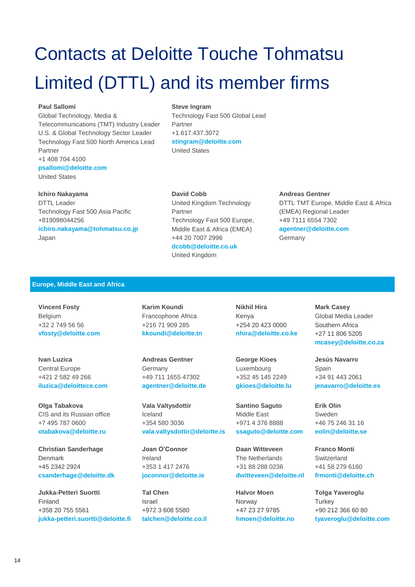# Contacts at Deloitte Touche Tohmatsu Limited (DTTL) and its member firms

#### **Paul Sallomi**

Global Technology, Media & Telecommunications (TMT) Industry Leader U.S. & Global Technology Sector Leader Technology Fast 500 North America Lead Partner +1 408 704 4100 **psallomi@deloitte.com** United States

#### **Steve Ingram**

Technology Fast 500 Global Lead Partner +1.617.437.3072 **[stingram@deloitte.com](mailto:stingram@deloitte.com)** United States

#### **Ichiro Nakayama**

DTTL Leader Technology Fast 500 Asia Pacific +819098044256 **[ichiro.nakayama@tohmatsu.co.jp](mailto:ichiro.nakayama@tohmatsu.co.jp)** Japan

#### **David Cobb**

United Kingdom Technology Partner Technology Fast 500 Europe, Middle East & Africa (EMEA) +44 20 7007 2996 **dcobb@deloitte.co.uk** United Kingdom

### **Andreas Gentner**

DTTL TMT Europe, Middle East & Africa (EMEA) Regional Leader +49 7111 6554 7302 **[agentner@deloitte.com](mailto:agentner@deloitte.com)** Germany

### **Europe, Middle East and Africa**

**Vincent Fosty** Belgium +32 2 749 56 56 **[vfosty@deloitte.com](mailto:vfosty@deloitte.com)**

**Ivan Luzica** Central Europe +421 2 582 49 266 **[iluzica@deloittece.com](mailto:iluzica@deloittece.com)**

**Olga Tabakova** CIS and its Russian office +7 495 787 0600 **[otabakova@deloitte.ru](mailto:otabakova@deloitte.ru)**

**Christian Sanderhage** Denmark +45 2342 2924 **[csanderhage@deloitte.dk](mailto:csanderhage@deloitte.dk)**

**Jukka-Petteri Suortti** Finland +358 20 755 5561 **[jukka-petteri.suortti@deloitte.fi](mailto:Jukka-Petteri.Suortti@deloitte.fi)**

**Karim Koundi**  Francophone Africa +216 71 909 285 **[kkoundi@deloitte.tn](mailto:kkoundi@deloitte.tn)**

**Andreas Gentner**  Germany +49 711 1655 47302 **[agentner@deloitte.de](mailto:agentner@deloitte.de)**

**Vala Valtysdottir** Iceland +354 580 3036 **[vala.valtysdottir@deloitte.is](mailto:joconnor@deloitte.ie)**

**Joan O'Connor** Ireland +353 1 417 2476 **[joconnor@deloitte.ie](mailto:joconnor@deloitte.ie)**

**Tal Chen** Israel +972 3 608 5580 **[talchen@deloitte.co.il](mailto:talchen@deloitte.co.il)** **Nikhil Hira** Kenya +254 20 423 0000 **[nhira@deloitte.co.ke](mailto:nhira@deloitte.co.ke)**

**George Kioes** Luxembourg +352 45 145 2249 **[gkioes@deloitte.lu](mailto:gkioes@deloitte.lu)**

**Santino Saguto** Middle East +971 4 376 8888 **[ssaguto@deloitte.com](mailto:ssaguto@deloitte.com)**

**Daan Witteveen** The Netherlands +31 88 288 0236 **[dwitteveen@deloitte.nl](mailto:dwitteveen@deloitte.nl)**

**Halvor Moen** Norway +47 23 27 9785 **[hmoen@deloitte.no](mailto:hmoen@deloitte.no)** **Mark Casey** Global Media Leader Southern Africa +27 11 806 5205 **[mcasey@deloitte.co.za](mailto:mcasey@deloitte.co.za)**

**Jesús Navarro** Spain +34 91 443 2061 **[jenavarro@deloitte.es](mailto:jenavarro@deloitte.es)**

**Erik Olin** Sweden +46 75 246 31 16 **[eolin@deloitte.se](mailto:eolin@deloitte.se)**

**Franco Monti Switzerland** +41 58 279 6160 **[frmonti@deloitte.ch](mailto:frmonti@deloitte.ch)**

**Tolga Yaveroglu Turkey** +90 212 366 60 80 **[tyaveroglu@deloitte.com](mailto:tyaveroglu@deloitte.com)**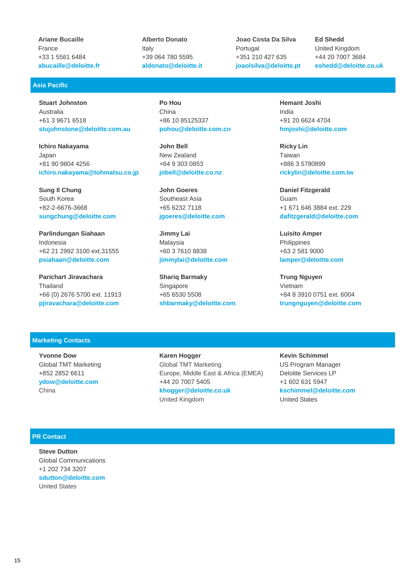**Ariane Bucaille** France +33 1 5561 6484 **[abucaille@deloitte.fr](mailto:abucaille@deloitte.fr)**

### **Asia Pacific**

**Stuart Johnston** Australia +61 3 9671 6518 **[stujohnstone@deloitte.com.au](mailto:stujohnstone@deloitte.com.au)**

**Ichiro Nakayama** Japan +81 90 9804 4256 **[ichiro.nakayama@tohmatsu.co.jp](mailto:ichiro.nakayama@tohmatsu.co.jp)**

**Sung Il Chung** South Korea +82-2-6676-3668 **[sungchung@deloitte.com](mailto:sungchung@deloitte.com)**

**Parlindungan Siahaan** Indonesia +62 21 2992 3100 ext.31555 **[psiahaan@deloitte.com](mailto:psiahaan@deloitte.com)**

**Parichart Jiravachara** Thailand +66 (0) 2676 5700 ext. 11913 **[pjiravachara@deloitte.com](mailto:pjiravachara@deloitte.com)**

**Alberto Donato** Italy +39 064 780 5595 **[aldonato@deloitte.it](mailto:aldonato@deloitte.it)** **Joao Costa Da Silva** Portugal +351 210 427 635 **[joaolsilva@deloitte.pt](mailto:joaolsilva@deloitte.pt)** **Ed Shedd** United Kingdom +44 20 7007 3684 **[eshedd@deloitte.co.uk](mailto:eshedd@deloitte.co.uk)**

**Po Hou** China +86 10 85125337 **[pohou@deloitte.com.cn](mailto:pohou@deloitte.com.cn)**

**John Bell** New Zealand +64 9 303 0853 **[jobell@deloitte.co.nz](mailto:jobell@deloitte.co.nz)**

**John Goeres** Southeast Asia +65 6232 7118 **[jgoeres@deloitte.com](mailto:jgoeres@deloitte.com)**

**Jimmy Lai**  Malaysia +60 3 7610 8838 **[jimmylai@deloitte.com](mailto:jimmylai@deloitte.com)**

**Shariq Barmaky** Singapore +65 6530 5508 **[shbarmaky@deloitte.com](mailto:shbarmaky@deloitte.com)** **Hemant Joshi** India +91 20 6624 4704 **[hmjoshi@deloitte.com](mailto:hmjoshi@deloitte.com)**

**Ricky Lin** Taiwan +886 3 5780899 **[rickylin@deloitte.com.tw](mailto:rickylin@deloitte.com.tw)**

**Daniel Fitzgerald**  Guam +1 671 646 3884 ext. 229 **[dafitzgerald@deloitte.com](mailto:dafitzgerald@deloitte.com)**

**Luisito Amper**  Philippines +63 2 581 9000 **[lamper@deloitte.com](mailto:lamper@deloitte.com)**

**Trung Nguyen**  Vietnam +84 8 3910 0751 ext. 6004 **[trungnguyen@deloitte.com](mailto:trungnguyen@deloitte.com)**

#### **Marketing Contacts**

**Yvonne Dow** Global TMT Marketing +852 2852 6611 **[ydow@deloitte.com](mailto:agoldstein@deloitte.com)** China

**Karen Hogger** Global TMT Marketing Europe, Middle East & Africa (EMEA) +44 20 7007 5405 **[khogger@deloitte.co.uk](mailto:khogger@deloitte.co.uk)** United Kingdom

**Kevin Schimmel** US Program Manager Deloitte Services LP +1 602 631 5947 **[kschimmel@deloitte.com](mailto:ydow@deloitte.com)** United States

#### **PR Contact**

**Steve Dutton** Global Communications +1 202 734 3207 **sdutton@deloitte.com** United States